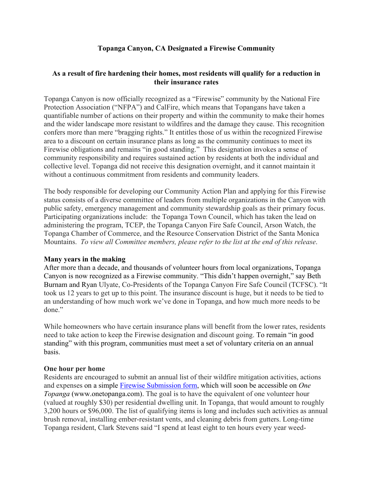# **Topanga Canyon, CA Designated a Firewise Community**

# **As a result of fire hardening their homes, most residents will qualify for a reduction in their insurance rates**

Topanga Canyon is now officially recognized as a "Firewise" community by the National Fire Protection Association ("NFPA") and CalFire, which means that Topangans have taken a quantifiable number of actions on their property and within the community to make their homes and the wider landscape more resistant to wildfires and the damage they cause. This recognition confers more than mere "bragging rights." It entitles those of us within the recognized Firewise area to a discount on certain insurance plans as long as the community continues to meet its Firewise obligations and remains "in good standing." This designation invokes a sense of community responsibility and requires sustained action by residents at both the individual and collective level. Topanga did not receive this designation overnight, and it cannot maintain it without a continuous commitment from residents and community leaders.

The body responsible for developing our Community Action Plan and applying for this Firewise status consists of a diverse committee of leaders from multiple organizations in the Canyon with public safety, emergency management and community stewardship goals as their primary focus. Participating organizations include: the Topanga Town Council, which has taken the lead on administering the program, TCEP, the Topanga Canyon Fire Safe Council, Arson Watch, the Topanga Chamber of Commerce, and the Resource Conservation District of the Santa Monica Mountains. *To view all Committee members, please refer to the list at the end of this release*.

#### **Many years in the making**

After more than a decade, and thousands of volunteer hours from local organizations, Topanga Canyon is now recognized as a Firewise community. "This didn't happen overnight," say Beth Burnam and Ryan Ulyate, Co-Presidents of the Topanga Canyon Fire Safe Council (TCFSC). "It took us 12 years to get up to this point. The insurance discount is huge, but it needs to be tied to an understanding of how much work we've done in Topanga, and how much more needs to be done."

While homeowners who have certain insurance plans will benefit from the lower rates, residents need to take action to keep the Firewise designation and discount going. To remain "in good standing" with this program, communities must meet a set of voluntary criteria on an annual basis.

# **One hour per home**

Residents are encouraged to submit an annual list of their wildfire mitigation activities, actions and expenses on a simple [Firewise Submission form,](https://docs.google.com/forms/d/e/1FAIpQLSdyu9rn7f_4pyUWzyYBz7dLbc_ORChP2vB9oawjq43nBrvN1g/viewform) which will soon be accessible on *One Topanga* (www.onetopanga.com). The goal is to have the equivalent of one volunteer hour (valued at roughly \$30) per residential dwelling unit. In Topanga, that would amount to roughly 3,200 hours or \$96,000. The list of qualifying items is long and includes such activities as annual brush removal, installing ember-resistant vents, and cleaning debris from gutters. Long-time Topanga resident, Clark Stevens said "I spend at least eight to ten hours every year weed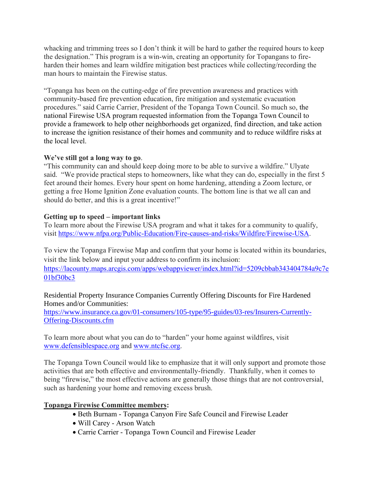whacking and trimming trees so I don't think it will be hard to gather the required hours to keep the designation." This program is a win-win, creating an opportunity for Topangans to fireharden their homes and learn wildfire mitigation best practices while collecting/recording the man hours to maintain the Firewise status.

"Topanga has been on the cutting-edge of fire prevention awareness and practices with community-based fire prevention education, fire mitigation and systematic evacuation procedures." said Carrie Carrier, President of the Topanga Town Council. So much so, the national Firewise USA program requested information from the Topanga Town Council to provide a framework to help other neighborhoods get organized, find direction, and take action to increase the ignition resistance of their homes and community and to reduce wildfire risks at the local level.

# **We've still got a long way to go**.

"This community can and should keep doing more to be able to survive a wildfire." Ulyate said. "We provide practical steps to homeowners, like what they can do, especially in the first 5 feet around their homes. Every hour spent on home hardening, attending a Zoom lecture, or getting a free Home Ignition Zone evaluation counts. The bottom line is that we all can and should do better, and this is a great incentive!"

#### **Getting up to speed – important links**

To learn more about the Firewise USA program and what it takes for a community to qualify, visit [https://www.nfpa.org/Public-Education/Fire-causes-and-risks/Wildfire/Firewise-USA.](https://www.nfpa.org/Public-Education/Fire-causes-and-risks/Wildfire/Firewise-USA)

To view the Topanga Firewise Map and confirm that your home is located within its boundaries, visit the link below and input your address to confirm its inclusion: [https://lacounty.maps.arcgis.com/apps/webappviewer/index.html?id=5209cbbab343404784a9c7e](https://lacounty.maps.arcgis.com/apps/webappviewer/index.html?id=5209cbbab343404784a9c7e01bf30bc3) [01bf30bc3](https://lacounty.maps.arcgis.com/apps/webappviewer/index.html?id=5209cbbab343404784a9c7e01bf30bc3)

Residential Property Insurance Companies Currently Offering Discounts for Fire Hardened Homes and/or Communities:

[https://www.insurance.ca.gov/01-consumers/105-type/95-guides/03-res/Insurers-Currently-](https://www.insurance.ca.gov/01-consumers/105-type/95-guides/03-res/Insurers-Currently-Offering-Discounts.cfm)[Offering-Discounts.cfm](https://www.insurance.ca.gov/01-consumers/105-type/95-guides/03-res/Insurers-Currently-Offering-Discounts.cfm)

To learn more about what you can do to "harden" your home against wildfires, visit [www.defensiblespace.org](http://www.defensiblespace.org/) and [www.ntcfsc.org.](http://www.ntcfsc.org/)

The Topanga Town Council would like to emphasize that it will only support and promote those activities that are both effective and environmentally-friendly. Thankfully, when it comes to being "firewise," the most effective actions are generally those things that are not controversial, such as hardening your home and removing excess brush.

# **Topanga Firewise Committee members:**

- Beth Burnam Topanga Canyon Fire Safe Council and Firewise Leader
- Will Carey Arson Watch
- Carrie Carrier Topanga Town Council and Firewise Leader